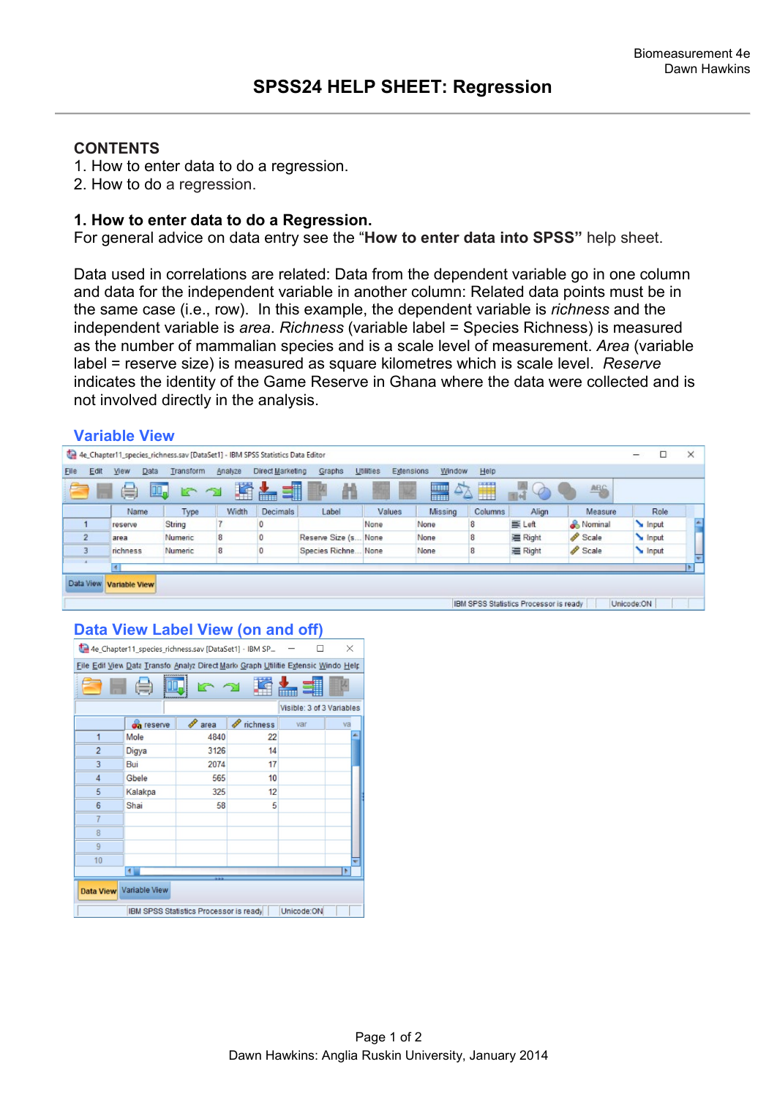# **CONTENTS**

- 1. How to enter data to do a regression.
- 2. How to do a regression.

### **1. How to enter data to do a Regression.**

For general advice on data entry see the "**How to enter data into SPSS"** help sheet.

Data used in correlations are related: Data from the dependent variable go in one column and data for the independent variable in another column: Related data points must be in the same case (i.e., row). In this example, the dependent variable is *richness* and the independent variable is *area*. *Richness* (variable label = Species Richness) is measured as the number of mammalian species and is a scale level of measurement. *Area* (variable label = reserve size) is measured as square kilometres which is scale level. *Reserve*  indicates the identity of the Game Reserve in Ghana where the data were collected and is not involved directly in the analysis.

#### **Variable View**

| 4e_Chapter11_species_richness.sav [DataSet1] - IBM SPSS Statistics Data Editor |                      |           |         |                  |                      |                         |                                         | -                | $\times$                               |           |            |  |
|--------------------------------------------------------------------------------|----------------------|-----------|---------|------------------|----------------------|-------------------------|-----------------------------------------|------------------|----------------------------------------|-----------|------------|--|
| Elle<br>Edit                                                                   | Data<br>View         | Transform | Analyze | Direct Marketing | Graphs               | Utilities<br>Extensions | Window                                  | Help             |                                        |           |            |  |
|                                                                                | 暠                    | Щ.        | H       | ■                |                      |                         | $\Delta$<br><b>HIMI</b><br><b>THEFT</b> | <b>ETTE</b><br>Ħ |                                        | ABG       |            |  |
|                                                                                | Name                 | Type      | Width   | Decimals         | Label                | Values                  | Missing                                 | Columns          | Align                                  | Measure   | Role       |  |
|                                                                                | reserve              | String    |         |                  |                      | None                    | None                                    | 8                | E Left                                 | & Nominal | Input      |  |
| $\overline{2}$                                                                 | area                 | Numeric   | 8       |                  | Reserve Size (s None |                         | None                                    | 8                | ■ Right                                | Scale     | Input      |  |
|                                                                                | richness             | Numeric   | 8       |                  | Species Richne.      | None                    | None                                    | 8                | 三 Right                                | Scale     | Input      |  |
|                                                                                |                      |           |         |                  |                      |                         |                                         |                  |                                        |           |            |  |
| Data View                                                                      | <b>Variable View</b> |           |         |                  |                      |                         |                                         |                  |                                        |           |            |  |
|                                                                                |                      |           |         |                  |                      |                         |                                         |                  |                                        |           |            |  |
|                                                                                |                      |           |         |                  |                      |                         |                                         |                  | IBM SPSS Statistics Processor is ready |           | Unicode:ON |  |

### **Data View Label View (on and off)**

| 4e Chapter11_species_richness.sav [DataSet1] - IBM SP<br>X                        |            |           |          |     |    |  |  |  |  |  |  |
|-----------------------------------------------------------------------------------|------------|-----------|----------|-----|----|--|--|--|--|--|--|
| File Edit View Data Transfo Analyz Direct Mark Graph Utilitie Extensic Windo Help |            |           |          |     |    |  |  |  |  |  |  |
|                                                                                   |            |           |          |     |    |  |  |  |  |  |  |
| Visible: 3 of 3 Variables                                                         |            |           |          |     |    |  |  |  |  |  |  |
|                                                                                   | oa reserve | P<br>area | richness | var | va |  |  |  |  |  |  |
| 1                                                                                 | Mole       | 4840      | 22       |     |    |  |  |  |  |  |  |
| $\overline{2}$                                                                    | Digya      | 3126      | 14       |     |    |  |  |  |  |  |  |
| 3                                                                                 | Bui        | 2074      | 17       |     |    |  |  |  |  |  |  |
| $\overline{4}$                                                                    | Gbele      | 565       | 10       |     |    |  |  |  |  |  |  |
| 5                                                                                 | Kalakpa    | 325       | 12       |     |    |  |  |  |  |  |  |
| 6                                                                                 | Shai       | 58        | 5        |     |    |  |  |  |  |  |  |
| 7                                                                                 |            |           |          |     |    |  |  |  |  |  |  |
| 8                                                                                 |            |           |          |     |    |  |  |  |  |  |  |
| 9                                                                                 |            |           |          |     |    |  |  |  |  |  |  |
| 10                                                                                |            |           |          |     |    |  |  |  |  |  |  |
| $\blacktriangleleft$                                                              |            |           |          |     |    |  |  |  |  |  |  |
| Data View Variable View                                                           |            |           |          |     |    |  |  |  |  |  |  |
| Unicode:ON<br>IBM SPSS Statistics Processor is ready                              |            |           |          |     |    |  |  |  |  |  |  |